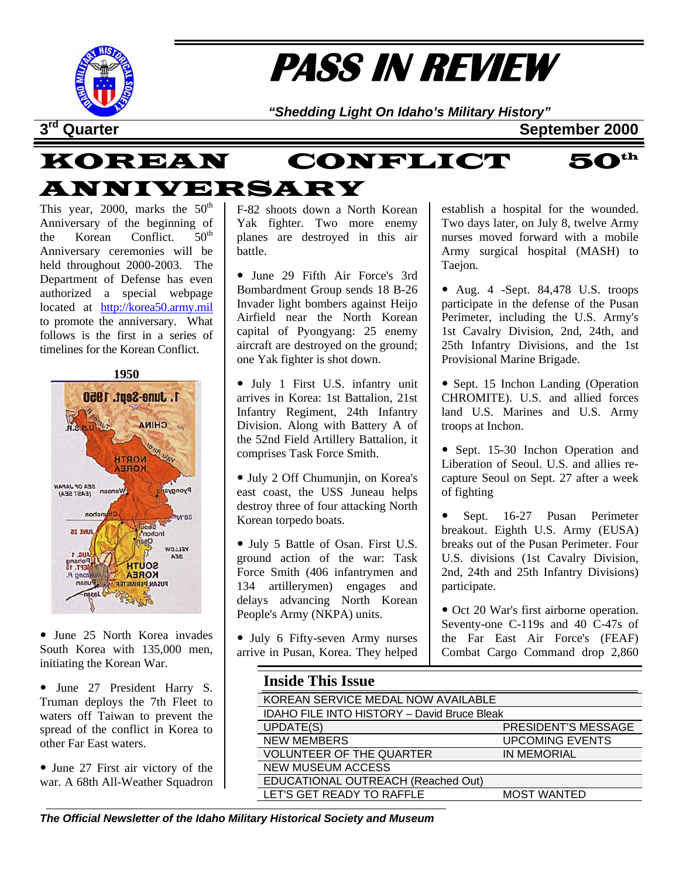

# **PASS IN REVIEW**

*"Shedding Light On Idaho's Military History"* 

**3rd Quarter September 2000**

# KOREAN CONFLICT ANNIVERSARY

This year, 2000, marks the  $50<sup>th</sup>$ Anniversary of the beginning of the Korean Conflict.  $50<sup>th</sup>$ Anniversary ceremonies will be held throughout 2000-2003. The Department of Defense has even authorized a special webpage located at [http://korea50.army.mil](http://korea50.army.mil/) to promote the anniversary. What follows is the first in a series of timelines for the Korean Conflict.



• June 25 North Korea invades South Korea with 135,000 men, initiating the Korean War.

• June 27 President Harry S. Truman deploys the 7th Fleet to waters off Taiwan to prevent the spread of the conflict in Korea to other Far East waters.

• June 27 First air victory of the war. A 68th All-Weather Squadron F-82 shoots down a North Korean Yak fighter. Two more enemy planes are destroyed in this air battle.

• June 29 Fifth Air Force's 3rd Bombardment Group sends 18 B-26 Invader light bombers against Heijo Airfield near the North Korean capital of Pyongyang: 25 enemy aircraft are destroyed on the ground; one Yak fighter is shot down.

- y July 1 First U.S. infantry unit arrives in Korea: 1st Battalion, 21st Infantry Regiment, 24th Infantry Division. Along with Battery A of the 52nd Field Artillery Battalion, it comprises Task Force Smith.
- July 2 Off Chumunjin, on Korea's east coast, the USS Juneau helps destroy three of four attacking North Korean torpedo boats.

• July 5 Battle of Osan. First U.S. ground action of the war: Task Force Smith (406 infantrymen and 134 artillerymen) engages and delays advancing North Korean People's Army (NKPA) units.

• July 6 Fifty-seven Army nurses arrive in Pusan, Korea. They helped establish a hospital for the wounded. Two days later, on July 8, twelve Army nurses moved forward with a mobile Army surgical hospital (MASH) to Taejon.

 $\bullet$  Aug. 4 -Sept. 84,478 U.S. troops participate in the defense of the Pusan Perimeter, including the U.S. Army's 1st Cavalry Division, 2nd, 24th, and 25th Infantry Divisions, and the 1st Provisional Marine Brigade.

• Sept. 15 Inchon Landing (Operation CHROMITE). U.S. and allied forces land U.S. Marines and U.S. Army troops at Inchon.

• Sept. 15-30 Inchon Operation and Liberation of Seoul. U.S. and allies recapture Seoul on Sept. 27 after a week of fighting

• Sept. 16-27 Pusan Perimeter breakout. Eighth U.S. Army (EUSA) breaks out of the Pusan Perimeter. Four U.S. divisions (1st Cavalry Division, 2nd, 24th and 25th Infantry Divisions) participate.

• Oct 20 War's first airborne operation. Seventy-one C-119s and 40 C-47s of the Far East Air Force's (FEAF) Combat Cargo Command drop 2,860

| <b>Inside This Issue</b>                           |                        |  |
|----------------------------------------------------|------------------------|--|
| KOREAN SERVICE MEDAL NOW AVAILABLE                 |                        |  |
| <b>IDAHO FILE INTO HISTORY - David Bruce Bleak</b> |                        |  |
| <b>UPDATE(S)</b>                                   | PRESIDENT'S MESSAGE    |  |
| <b>NEW MEMBERS</b>                                 | <b>UPCOMING EVENTS</b> |  |
| <b>VOLUNTEER OF THE QUARTER</b>                    | <b>IN MEMORIAL</b>     |  |
| <b>NEW MUSEUM ACCESS</b>                           |                        |  |
| EDUCATIONAL OUTREACH (Reached Out)                 |                        |  |
| LET'S GET READY TO RAFFLE                          | <b>MOST WANTED</b>     |  |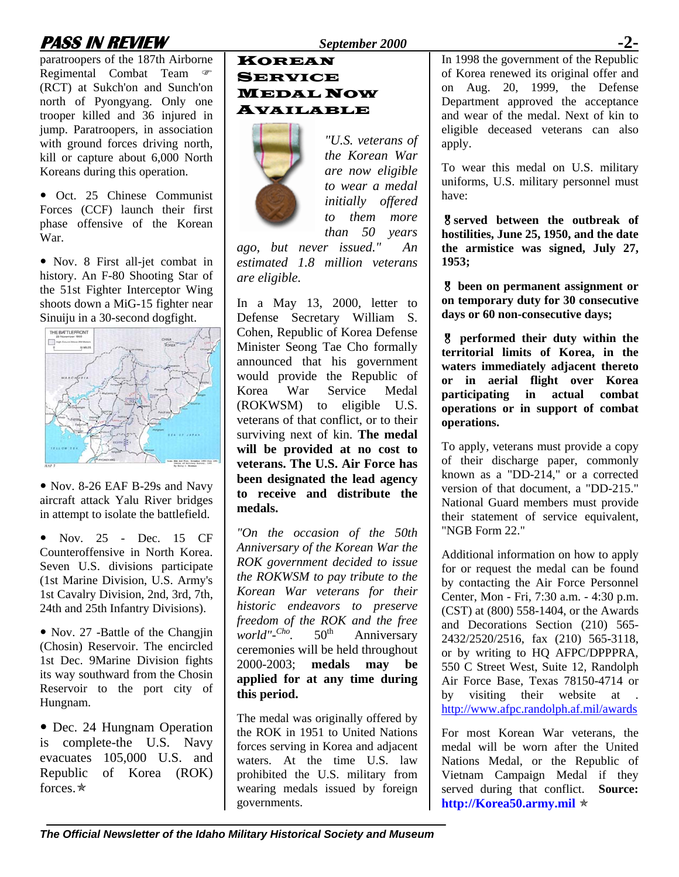# **PASS IN REVIEW September 2000**

paratroopers of the 187th Airborne Regimental Combat Team  $\infty$ (RCT) at Sukch'on and Sunch'on north of Pyongyang. Only one trooper killed and 36 injured in jump. Paratroopers, in association with ground forces driving north, kill or capture about 6,000 North Koreans during this operation.

• Oct. 25 Chinese Communist Forces (CCF) launch their first phase offensive of the Korean War.

• Nov. 8 First all-jet combat in history. An F-80 Shooting Star of the 51st Fighter Interceptor Wing shoots down a MiG-15 fighter near Sinuiju in a 30-second dogfight.



• Nov. 8-26 EAF B-29s and Navy aircraft attack Yalu River bridges in attempt to isolate the battlefield.

• Nov. 25 - Dec. 15 CF Counteroffensive in North Korea. Seven U.S. divisions participate (1st Marine Division, U.S. Army's 1st Cavalry Division, 2nd, 3rd, 7th, 24th and 25th Infantry Divisions).

• Nov. 27 -Battle of the Changjin (Chosin) Reservoir. The encircled 1st Dec. 9Marine Division fights its way southward from the Chosin Reservoir to the port city of Hungnam.

• Dec. 24 Hungnam Operation is complete-the U.S. Navy evacuates 105,000 U.S. and Republic of Korea (ROK) forces. $\star$ 

### KOREAN SERVICE MEDAL NOW AVAILABLE



*"U.S. veterans of the Korean War are now eligible to wear a medal initially offered to them more than 50 years* 

*ago, but never issued." An estimated 1.8 million veterans are eligible.* 

In a May 13, 2000, letter to Defense Secretary William S. Cohen, Republic of Korea Defense Minister Seong Tae Cho formally announced that his government would provide the Republic of Korea War Service Medal (ROKWSM) to eligible U.S. veterans of that conflict, or to their surviving next of kin. **The medal will be provided at no cost to veterans. The U.S. Air Force has been designated the lead agency to receive and distribute the medals.** 

*"On the occasion of the 50th Anniversary of the Korean War the ROK government decided to issue the ROKWSM to pay tribute to the Korean War veterans for their historic endeavors to preserve freedom of the ROK and the free world"-Cho.* 50th Anniversary ceremonies will be held throughout 2000-2003; **medals may be applied for at any time during this period.** 

The medal was originally offered by the ROK in 1951 to United Nations forces serving in Korea and adjacent waters. At the time U.S. law prohibited the U.S. military from wearing medals issued by foreign governments.

In 1998 the government of the Republic of Korea renewed its original offer and on Aug. 20, 1999, the Defense Department approved the acceptance and wear of the medal. Next of kin to eligible deceased veterans can also apply.

To wear this medal on U.S. military uniforms, U.S. military personnel must have:

 **served between the outbreak of hostilities, June 25, 1950, and the date the armistice was signed, July 27, 1953;** 

  **been on permanent assignment or on temporary duty for 30 consecutive days or 60 non-consecutive days;** 

  **performed their duty within the territorial limits of Korea, in the waters immediately adjacent thereto or in aerial flight over Korea participating in actual combat operations or in support of combat operations.** 

To apply, veterans must provide a copy of their discharge paper, commonly known as a "DD-214," or a corrected version of that document, a "DD-215." National Guard members must provide their statement of service equivalent, "NGB Form 22."

Additional information on how to apply for or request the medal can be found by contacting the [Air Force Personnel](http://www.afpc.randolph.af.mil/awards/)  [Center,](http://www.afpc.randolph.af.mil/awards/) Mon - Fri, 7:30 a.m. - 4:30 p.m. (CST) at (800) 558-1404, or the Awards and Decorations Section (210) 565- 2432/2520/2516, fax (210) 565-3118, or by writing to HQ AFPC/DPPPRA, 550 C Street West, Suite 12, Randolph Air Force Base, Texas 78150-4714 or by visiting their website at . [http://www.afpc.randolph.af.mil/awards](http://www.afpc.randolph.af.mil/awards/)

For most Korean War veterans, the medal will be worn after the United Nations Medal, or the Republic of Vietnam Campaign Medal if they served during that conflict. **Source:**  [http://Korea50.army.mil](http://korea50.army.mil/) **\***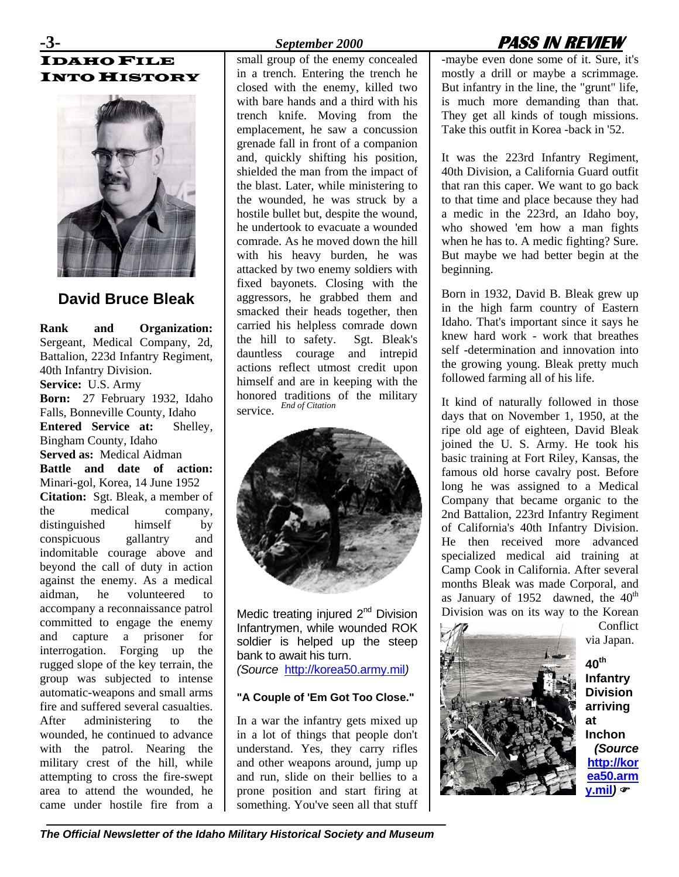### **-3-** *September 2000* **PASS IN REVIEW**  IDAHO FILE INTO HISTORY



### **David Bruce Bleak**

**Rank and Organization:** Sergeant, Medical Company, 2d, Battalion, 223d Infantry Regiment, 40th Infantry Division. **Service:** U.S. Army **Born:** 27 February 1932, Idaho Falls, Bonneville County, Idaho **Entered Service at:** Shelley, Bingham County, Idaho **Served as:** Medical Aidman **Battle and date of action:** Minari-gol, Korea, 14 June 1952 **Citation:** Sgt. Bleak, a member of the medical company, distinguished himself by conspicuous gallantry and indomitable courage above and beyond the call of duty in action against the enemy. As a medical aidman, he volunteered to accompany a reconnaissance patrol committed to engage the enemy and capture a prisoner for interrogation. Forging up the rugged slope of the key terrain, the group was subjected to intense automatic-weapons and small arms fire and suffered several casualties. After administering to the wounded, he continued to advance with the patrol. Nearing the military crest of the hill, while attempting to cross the fire-swept area to attend the wounded, he came under hostile fire from a

small group of the enemy concealed in a trench. Entering the trench he closed with the enemy, killed two with bare hands and a third with his trench knife. Moving from the emplacement, he saw a concussion grenade fall in front of a companion and, quickly shifting his position, shielded the man from the impact of the blast. Later, while ministering to the wounded, he was struck by a hostile bullet but, despite the wound, he undertook to evacuate a wounded comrade. As he moved down the hill with his heavy burden, he was attacked by two enemy soldiers with fixed bayonets. Closing with the aggressors, he grabbed them and smacked their heads together, then carried his helpless comrade down the hill to safety. Sgt. Bleak's dauntless courage and intrepid actions reflect utmost credit upon himself and are in keeping with the honored traditions of the military service. *End of Citation* 



Medic treating injured  $2<sup>nd</sup>$  Division Infantrymen, while wounded ROK soldier is helped up the steep bank to await his turn. *(Source* [http://korea50.army.mil](http://korea50.army.mil/)*)* 

#### **"A Couple of 'Em Got Too Close."**

In a war the infantry gets mixed up in a lot of things that people don't understand. Yes, they carry rifles and other weapons around, jump up and run, slide on their bellies to a prone position and start firing at something. You've seen all that stuff

-maybe even done some of it. Sure, it's mostly a drill or maybe a scrimmage. But infantry in the line, the "grunt" life, is much more demanding than that. They get all kinds of tough missions. Take this outfit in Korea -back in '52.

It was the 223rd Infantry Regiment, 40th Division, a California Guard outfit that ran this caper. We want to go back to that time and place because they had a medic in the 223rd, an Idaho boy, who showed 'em how a man fights when he has to. A medic fighting? Sure. But maybe we had better begin at the beginning.

Born in 1932, David B. Bleak grew up in the high farm country of Eastern Idaho. That's important since it says he knew hard work - work that breathes self -determination and innovation into the growing young. Bleak pretty much followed farming all of his life.

It kind of naturally followed in those days that on November 1, 1950, at the ripe old age of eighteen, David Bleak joined the U. S. Army. He took his basic training at Fort Riley, Kansas, the famous old horse cavalry post. Before long he was assigned to a Medical Company that became organic to the 2nd Battalion, 223rd Infantry Regiment of California's 40th Infantry Division. He then received more advanced specialized medical aid training at Camp Cook in California. After several months Bleak was made Corporal, and as January of 1952 dawned, the  $40<sup>th</sup>$ Division was on its way to the Korean



Conflict via Japan.

**40th Infantry Division arriving at Inchon**  *(Source*  **[http://kor](http://korea50.army.mil/) [ea50.arm](http://korea50.army.mil/) [y.mil](http://korea50.army.mil/)***)* )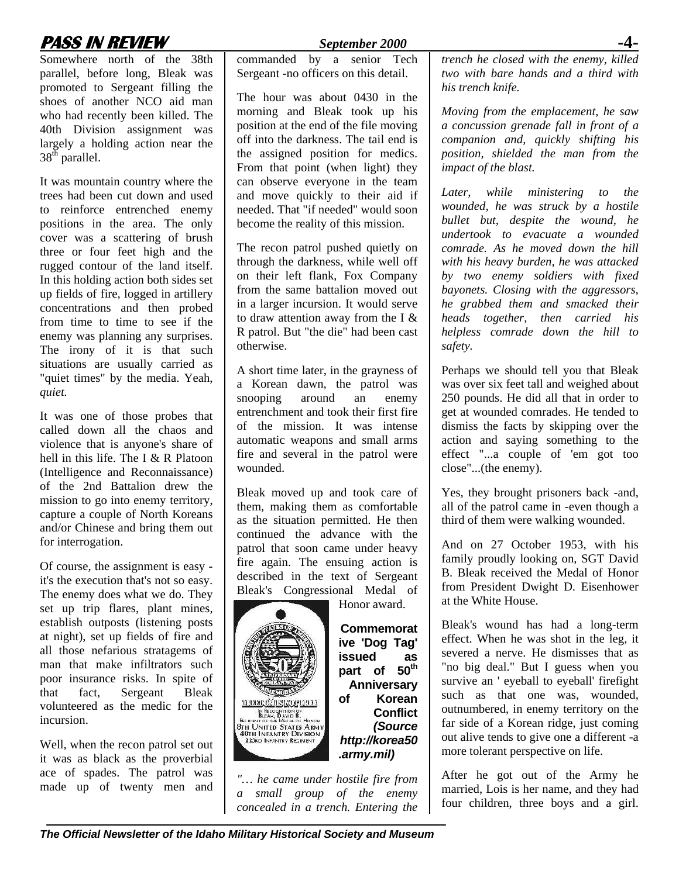# **PASS IN REVIEW September 2000**

Somewhere north of the 38th parallel, before long, Bleak was promoted to Sergeant filling the shoes of another NCO aid man who had recently been killed. The 40th Division assignment was largely a holding action near the  $38<sup>th</sup>$  parallel.

It was mountain country where the trees had been cut down and used to reinforce entrenched enemy positions in the area. The only cover was a scattering of brush three or four feet high and the rugged contour of the land itself. In this holding action both sides set up fields of fire, logged in artillery concentrations and then probed from time to time to see if the enemy was planning any surprises. The irony of it is that such situations are usually carried as "quiet times" by the media. Yeah, *quiet.* 

It was one of those probes that called down all the chaos and violence that is anyone's share of hell in this life. The I & R Platoon (Intelligence and Reconnaissance) of the 2nd Battalion drew the mission to go into enemy territory, capture a couple of North Koreans and/or Chinese and bring them out for interrogation.

Of course, the assignment is easy it's the execution that's not so easy. The enemy does what we do. They set up trip flares, plant mines, establish outposts (listening posts at night), set up fields of fire and all those nefarious stratagems of man that make infiltrators such poor insurance risks. In spite of that fact, Sergeant Bleak volunteered as the medic for the incursion.

Well, when the recon patrol set out it was as black as the proverbial ace of spades. The patrol was made up of twenty men and

commanded by a senior Tech Sergeant -no officers on this detail.

The hour was about 0430 in the morning and Bleak took up his position at the end of the file moving off into the darkness. The tail end is the assigned position for medics. From that point (when light) they can observe everyone in the team and move quickly to their aid if needed. That "if needed" would soon become the reality of this mission.

The recon patrol pushed quietly on through the darkness, while well off on their left flank, Fox Company from the same battalion moved out in a larger incursion. It would serve to draw attention away from the I & R patrol. But "the die" had been cast otherwise.

A short time later, in the grayness of a Korean dawn, the patrol was snooping around an enemy entrenchment and took their first fire of the mission. It was intense automatic weapons and small arms fire and several in the patrol were wounded.

Bleak moved up and took care of them, making them as comfortable as the situation permitted. He then continued the advance with the patrol that soon came under heavy fire again. The ensuing action is described in the text of Sergeant Bleak's Congressional Medal of



*"… he came under hostile fire from a small group of the enemy concealed in a trench. Entering the* 

**Anniversary** 

**Conflict**  *(Source* 

*trench he closed with the enemy, killed two with bare hands and a third with his trench knife.* 

*Moving from the emplacement, he saw a concussion grenade fall in front of a companion and, quickly shifting his position, shielded the man from the impact of the blast.* 

*Later, while ministering to the wounded, he was struck by a hostile bullet but, despite the wound, he undertook to evacuate a wounded comrade. As he moved down the hill with his heavy burden, he was attacked by two enemy soldiers with fixed bayonets. Closing with the aggressors, he grabbed them and smacked their heads together, then carried his helpless comrade down the hill to safety.* 

Perhaps we should tell you that Bleak was over six feet tall and weighed about 250 pounds. He did all that in order to get at wounded comrades. He tended to dismiss the facts by skipping over the action and saying something to the effect "...a couple of 'em got too close"...(the enemy).

Yes, they brought prisoners back -and, all of the patrol came in -even though a third of them were walking wounded.

And on 27 October 1953, with his family proudly looking on, SGT David B. Bleak received the Medal of Honor from President Dwight D. Eisenhower at the White House.

Bleak's wound has had a long-term effect. When he was shot in the leg, it severed a nerve. He dismisses that as "no big deal." But I guess when you survive an ' eyeball to eyeball' firefight such as that one was, wounded, outnumbered, in enemy territory on the far side of a Korean ridge, just coming out alive tends to give one a different -a more tolerant perspective on life.

After he got out of the Army he married, Lois is her name, and they had four children, three boys and a girl.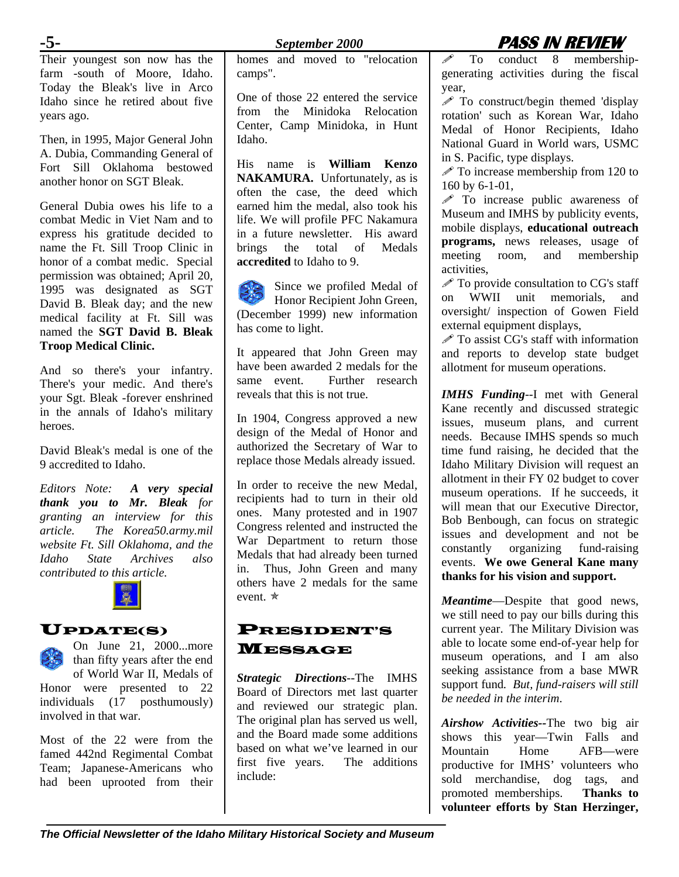Their youngest son now has the farm -south of Moore, Idaho. Today the Bleak's live in Arco Idaho since he retired about five years ago.

Then, in 1995, Major General John A. Dubia, Commanding General of Fort Sill Oklahoma bestowed another honor on SGT Bleak.

General Dubia owes his life to a combat Medic in Viet Nam and to express his gratitude decided to name the Ft. Sill Troop Clinic in honor of a combat medic. Special permission was obtained; April 20, 1995 was designated as SGT David B. Bleak day; and the new medical facility at Ft. Sill was named the **SGT David B. Bleak Troop Medical Clinic.**

And so there's your infantry. There's your medic. And there's your Sgt. Bleak -forever enshrined in the annals of Idaho's military heroes.

David Bleak's medal is one of the 9 accredited to Idaho.

*Editors Note: A very special thank you to Mr. Bleak for granting an interview for this article. The Korea50.army.mil website Ft. Sill Oklahoma, and the Idaho State Archives also contributed to this article.* 



### UPDATE(S)

On June 21, 2000...more than fifty years after the end of World War II, Medals of Honor were presented to 22 individuals (17 posthumously) involved in that war.

Most of the 22 were from the famed 442nd Regimental Combat Team; Japanese-Americans who had been uprooted from their homes and moved to "relocation camps".

One of those 22 entered the service from the Minidoka Relocation Center, Camp Minidoka, in Hunt Idaho.

His name is **William Kenzo NAKAMURA.** Unfortunately, as is often the case, the deed which earned him the medal, also took his life. We will profile PFC Nakamura in a future newsletter. His award brings the total of Medals **accredited** to Idaho to 9.

Since we profiled Medal of Honor Recipient John Green, (December 1999) new information has come to light.

It appeared that John Green may have been awarded 2 medals for the same event. Further research reveals that this is not true.

In 1904, Congress approved a new design of the Medal of Honor and authorized the Secretary of War to replace those Medals already issued.

In order to receive the new Medal, recipients had to turn in their old ones. Many protested and in 1907 Congress relented and instructed the War Department to return those Medals that had already been turned in. Thus, John Green and many others have 2 medals for the same event  $\ast$ 

### PRESIDENT'S MESSAGE

*Strategic Directions*--The IMHS Board of Directors met last quarter and reviewed our strategic plan. The original plan has served us well, and the Board made some additions based on what we've learned in our first five years. The additions include:

**Exptember 2000 PASS IN REVIEW**<br>and moved to "relocation  $\frac{1}{2}$  To conduct 8 membership To conduct 8 membershipgenerating activities during the fiscal year,

 $\mathscr S$  To construct/begin themed 'display rotation' such as Korean War, Idaho Medal of Honor Recipients, Idaho National Guard in World wars, USMC in S. Pacific, type displays.

 $\mathscr S$  To increase membership from 120 to 160 by 6-1-01,

 To increase public awareness of Museum and IMHS by publicity events, mobile displays, **educational outreach programs,** news releases, usage of meeting room, and membership activities,

 $\mathscr I$  To provide consultation to CG's staff on WWII unit memorials, and oversight/ inspection of Gowen Field external equipment displays,

 To assist CG's staff with information and reports to develop state budget allotment for museum operations.

*IMHS Funding*--I met with General Kane recently and discussed strategic issues, museum plans, and current needs. Because IMHS spends so much time fund raising, he decided that the Idaho Military Division will request an allotment in their FY 02 budget to cover museum operations. If he succeeds, it will mean that our Executive Director, Bob Benbough, can focus on strategic issues and development and not be constantly organizing fund-raising events. **We owe General Kane many thanks for his vision and support.** 

*Meantime*—Despite that good news, we still need to pay our bills during this current year. The Military Division was able to locate some end-of-year help for museum operations, and I am also seeking assistance from a base MWR support fund*. But, fund-raisers will still be needed in the interim*.

*Airshow Activities--*The two big air shows this year—Twin Falls and Mountain Home AFB—were productive for IMHS' volunteers who sold merchandise, dog tags, and promoted memberships. **Thanks to volunteer efforts by Stan Herzinger,**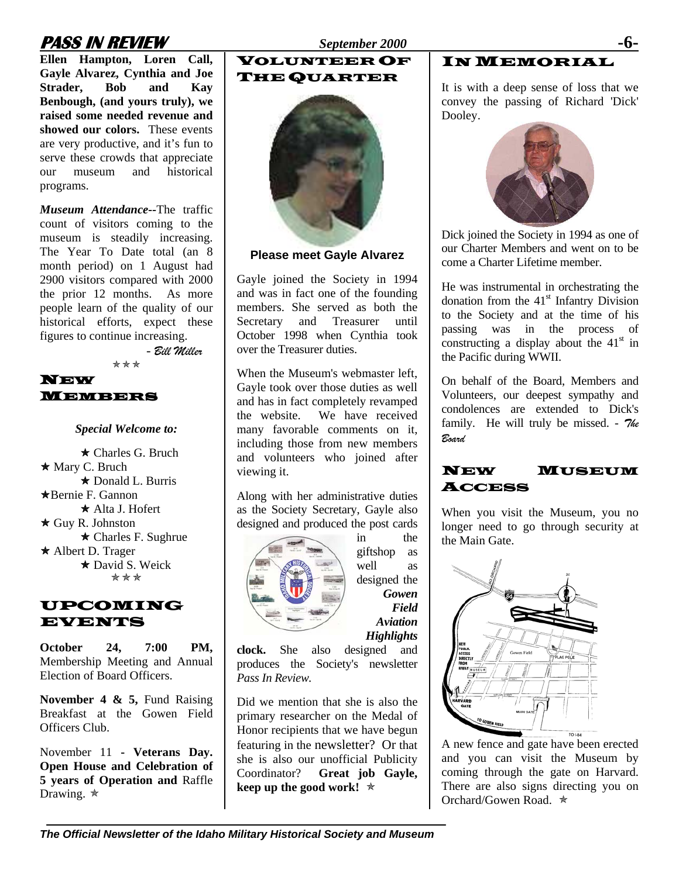# **PASS IN REVIEW** *September 2000* **-6-**

**Ellen Hampton, Loren Call, Gayle Alvarez, Cynthia and Joe Strader, Bob and Kay Benbough, (and yours truly), we raised some needed revenue and showed our colors.** These events are very productive, and it's fun to serve these crowds that appreciate our museum and historical programs.

*Museum Attendance--*The traffic count of visitors coming to the museum is steadily increasing. The Year To Date total (an 8 month period) on 1 August had 2900 visitors compared with 2000 the prior 12 months. As more people learn of the quality of our historical efforts, expect these figures to continue increasing.

- *Bill Miller* 



*Special Welcome to:* 

 $\star$  Charles G. Bruch  $\star$  Mary C. Bruch  $\star$  Donald L. Burris  $\star$ Bernie F. Gannon  $\star$  Alta J. Hofert  $\star$  Guy R. Johnston  $\star$  Charles F. Sughrue **★ Albert D. Trager**  $\star$  David S. Weick \*\*\*

#### UPCOMING EVENTS

**October 24, 7:00 PM,** Membership Meeting and Annual Election of Board Officers.

**November 4 & 5,** Fund Raising Breakfast at the Gowen Field Officers Club.

November 11 **- Veterans Day. Open House and Celebration of 5 years of Operation and** Raffle Drawing.  $\star$ 

# VOLUNTEER OF



#### **Please meet Gayle Alvarez**

Gayle joined the Society in 1994 and was in fact one of the founding members. She served as both the Secretary and Treasurer until October 1998 when Cynthia took over the Treasurer duties.

When the Museum's webmaster left, Gayle took over those duties as well and has in fact completely revamped the website. We have received many favorable comments on it, including those from new members and volunteers who joined after viewing it.

Along with her administrative duties as the Society Secretary, Gayle also designed and produced the post cards



in the giftshop as well as designed the *Gowen Field Aviation* 

*Highlights* 

**clock.** She also designed and produces the Society's newsletter *Pass In Review.* 

Did we mention that she is also the primary researcher on the Medal of Honor recipients that we have begun featuring in the newsletter? Or that she is also our unofficial Publicity Coordinator? **Great job Gayle, keep up the good work!** Õ

### IN MEMORIAL

It is with a deep sense of loss that we convey the passing of Richard 'Dick' Dooley.



Dick joined the Society in 1994 as one of our Charter Members and went on to be come a Charter Lifetime member.

He was instrumental in orchestrating the donation from the  $41<sup>st</sup>$  Infantry Division to the Society and at the time of his passing was in the process of constructing a display about the  $41<sup>st</sup>$  in the Pacific during WWII.

On behalf of the Board, Members and Volunteers, our deepest sympathy and condolences are extended to Dick's family. He will truly be missed. - *The Board* 

### NEW MUSEUM ACCESS

When you visit the Museum, you no longer need to go through security at the Main Gate.



A new fence and gate have been erected and you can visit the Museum by coming through the gate on Harvard. There are also signs directing you on Orchard/Gowen Road.  $\star$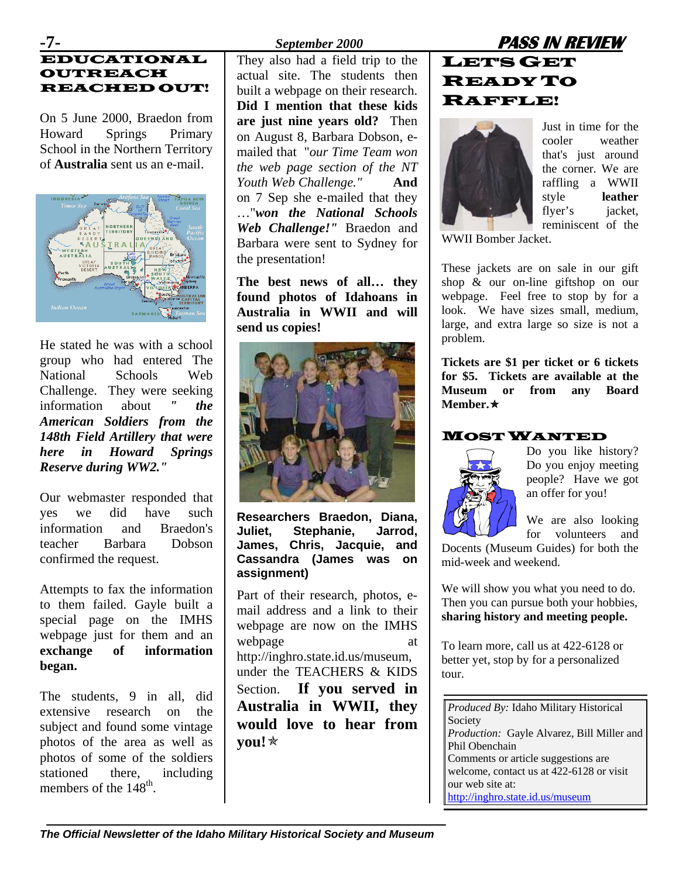#### **-7-** *September 2000* **PASS IN REVIEW**  EDUCATIONAL OUTREACH REACHED OUT!

On 5 June 2000, Braedon from Howard Springs Primary School in the Northern Territory of **Australia** sent us an e-mail.



He stated he was with a school group who had entered The National Schools Web Challenge. They were seeking information about *" the American Soldiers from the 148th Field Artillery that were here in Howard Springs Reserve during WW2."*

Our webmaster responded that yes we did have such information and Braedon's teacher Barbara Dobson confirmed the request.

Attempts to fax the information to them failed. Gayle built a special page on the IMHS webpage just for them and an **exchange of information began.** 

The students, 9 in all, did extensive research on the subject and found some vintage photos of the area as well as photos of some of the soldiers stationed there, including members of the 148<sup>th</sup>.

They also had a field trip to the actual site. The students then built a webpage on their research. **Did I mention that these kids are just nine years old?** Then on August 8, Barbara Dobson, emailed that "*our Time Team won the web page section of the NT Youth Web Challenge."* **And** on 7 Sep she e-mailed that they …"*won the National Schools Web Challenge!"* Braedon and Barbara were sent to Sydney for the presentation!

**The best news of all… they found photos of Idahoans in Australia in WWII and will send us copies!** 



**Researchers Braedon, Diana, Juliet, Stephanie, Jarrod, James, Chris, Jacquie, and Cassandra (James was on assignment)** 

Part of their research, photos, email address and a link to their webpage are now on the IMHS webpage at a state at a state at a state and state at a state at a state at a state at a state at a state at a http://inghro.state.id.us/museum,

under the TEACHERS & KIDS Section. **If you served in** 

**Australia in WWII, they would love to hear from you!**Õ

# LET'S GET READY TO RAFFLE!



Just in time for the cooler weather that's just around the corner. We are raffling a WWII style **leather** flyer's jacket, reminiscent of the

WWII Bomber Jacket.

These jackets are on sale in our gift shop & our on-line giftshop on our webpage. Feel free to stop by for a look. We have sizes small, medium, large, and extra large so size is not a problem.

**Tickets are \$1 per ticket or 6 tickets for \$5. Tickets are available at the Museum or from any Board Member.**Õ

#### MOST WANTED



Do you like history? Do you enjoy meeting people? Have we got an offer for you!

We are also looking for volunteers and

Docents (Museum Guides) for both the mid-week and weekend.

We will show you what you need to do. Then you can pursue both your hobbies, **sharing history and meeting people.** 

To learn more, call us at 422-6128 or better yet, stop by for a personalized tour.

*Produced By:* Idaho Military Historical Society *Production:* Gayle Alvarez, Bill Miller and Phil Obenchain Comments or article suggestions are welcome, contact us at 422-6128 or visit our web site at: [http://inghro.state.id.us/museum](http://inghro.state.id.us/museum/)